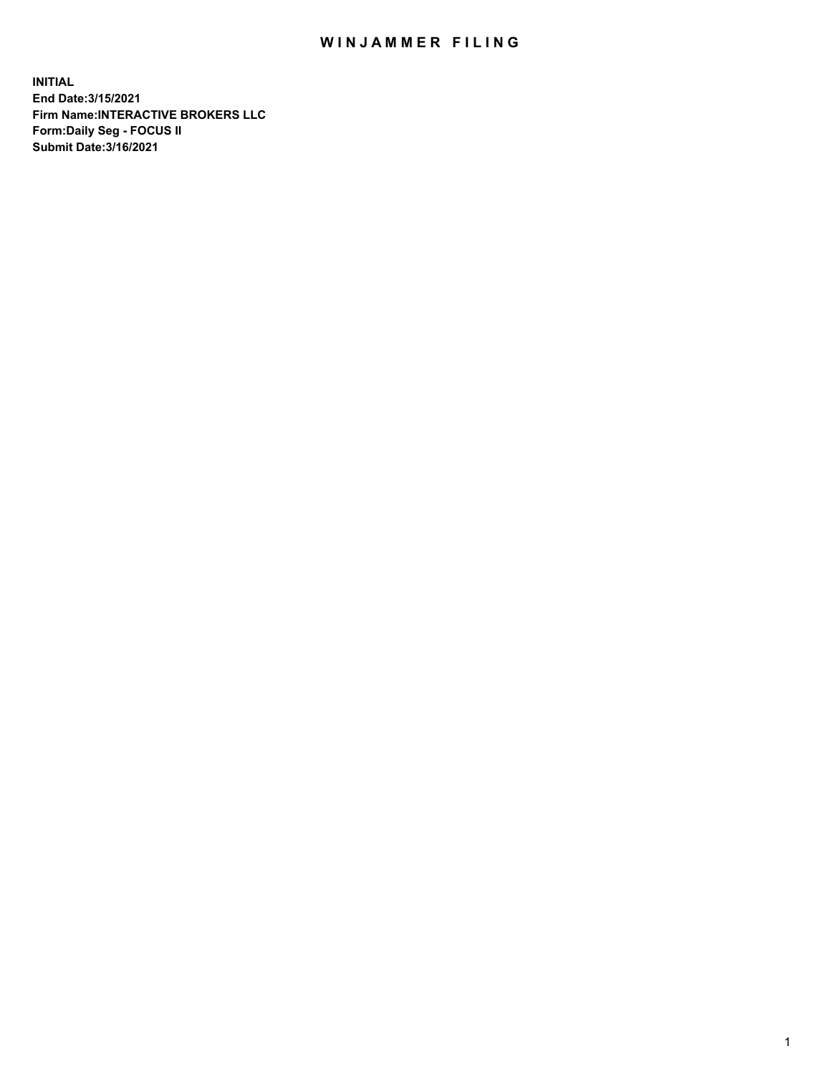## WIN JAMMER FILING

**INITIAL End Date:3/15/2021 Firm Name:INTERACTIVE BROKERS LLC Form:Daily Seg - FOCUS II Submit Date:3/16/2021**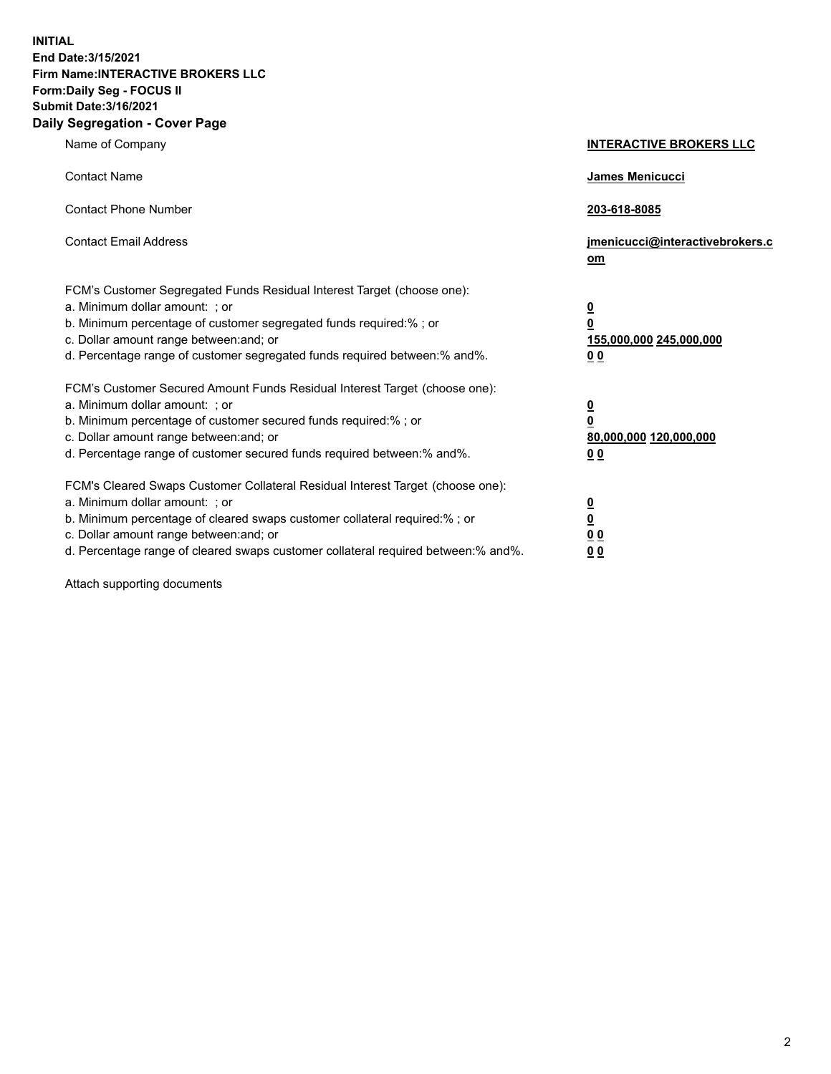**INITIAL End Date:3/15/2021 Firm Name:INTERACTIVE BROKERS LLC Form:Daily Seg - FOCUS II Submit Date:3/16/2021 Daily Segregation - Cover Page**

| Name of Company                                                                                                                                                                                                                                                                                                               | <b>INTERACTIVE BROKERS LLC</b>                                                            |  |
|-------------------------------------------------------------------------------------------------------------------------------------------------------------------------------------------------------------------------------------------------------------------------------------------------------------------------------|-------------------------------------------------------------------------------------------|--|
| <b>Contact Name</b>                                                                                                                                                                                                                                                                                                           | James Menicucci                                                                           |  |
| <b>Contact Phone Number</b>                                                                                                                                                                                                                                                                                                   | 203-618-8085                                                                              |  |
| <b>Contact Email Address</b>                                                                                                                                                                                                                                                                                                  | jmenicucci@interactivebrokers.c<br><u>om</u>                                              |  |
| FCM's Customer Segregated Funds Residual Interest Target (choose one):<br>a. Minimum dollar amount: ; or<br>b. Minimum percentage of customer segregated funds required:% ; or<br>c. Dollar amount range between: and; or<br>d. Percentage range of customer segregated funds required between: % and %.                      | $\overline{\mathbf{0}}$<br>0<br>155,000,000 245,000,000<br>0 <sub>0</sub>                 |  |
| FCM's Customer Secured Amount Funds Residual Interest Target (choose one):<br>a. Minimum dollar amount: ; or<br>b. Minimum percentage of customer secured funds required:%; or<br>c. Dollar amount range between: and; or<br>d. Percentage range of customer secured funds required between:% and%.                           | <u>0</u><br>$\overline{\mathbf{0}}$<br>80,000,000 120,000,000<br>00                       |  |
| FCM's Cleared Swaps Customer Collateral Residual Interest Target (choose one):<br>a. Minimum dollar amount: ; or<br>b. Minimum percentage of cleared swaps customer collateral required:%; or<br>c. Dollar amount range between: and; or<br>d. Percentage range of cleared swaps customer collateral required between:% and%. | <u>0</u><br>$\underline{\mathbf{0}}$<br>$\underline{0}$ $\underline{0}$<br>0 <sub>0</sub> |  |

Attach supporting documents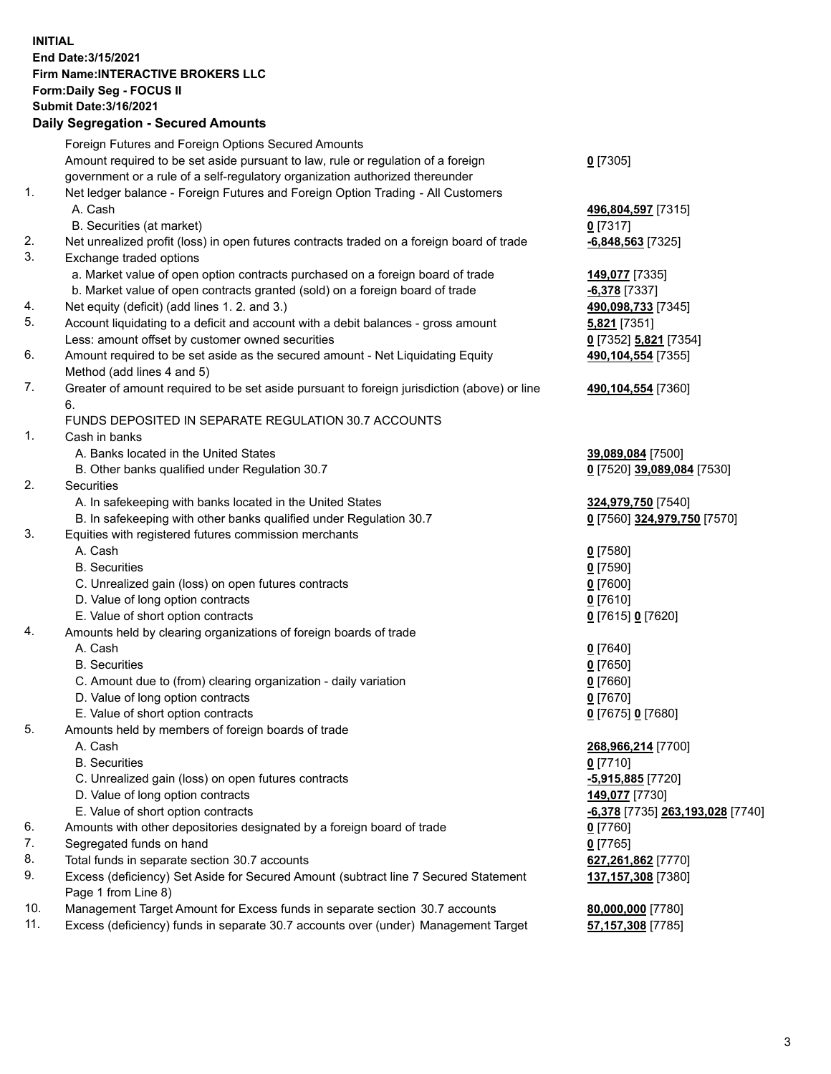**INITIAL End Date:3/15/2021 Firm Name:INTERACTIVE BROKERS LLC Form:Daily Seg - FOCUS II Submit Date:3/16/2021 Daily Segregation - Secured Amounts**

## Foreign Futures and Foreign Options Secured Amounts Amount required to be set aside pursuant to law, rule or regulation of a foreign government or a rule of a self-regulatory organization authorized thereunder **0** [7305] 1. Net ledger balance - Foreign Futures and Foreign Option Trading - All Customers A. Cash **496,804,597** [7315] B. Securities (at market) **0** [7317] 2. Net unrealized profit (loss) in open futures contracts traded on a foreign board of trade **-6,848,563** [7325] 3. Exchange traded options a. Market value of open option contracts purchased on a foreign board of trade **149,077** [7335] b. Market value of open contracts granted (sold) on a foreign board of trade **-6,378** [7337] 4. Net equity (deficit) (add lines 1. 2. and 3.) **490,098,733** [7345] 5. Account liquidating to a deficit and account with a debit balances - gross amount **5,821** [7351] Less: amount offset by customer owned securities **0** [7352] **5,821** [7354] 6. Amount required to be set aside as the secured amount - Net Liquidating Equity Method (add lines 4 and 5) **490,104,554** [7355] 7. Greater of amount required to be set aside pursuant to foreign jurisdiction (above) or line 6. **490,104,554** [7360] FUNDS DEPOSITED IN SEPARATE REGULATION 30.7 ACCOUNTS 1. Cash in banks A. Banks located in the United States **39,089,084** [7500] B. Other banks qualified under Regulation 30.7 **0** [7520] **39,089,084** [7530] 2. Securities A. In safekeeping with banks located in the United States **324,979,750** [7540] B. In safekeeping with other banks qualified under Regulation 30.7 **0** [7560] **324,979,750** [7570] 3. Equities with registered futures commission merchants A. Cash **0** [7580] B. Securities **0** [7590] C. Unrealized gain (loss) on open futures contracts **0** [7600] D. Value of long option contracts **0** [7610] E. Value of short option contracts **0** [7615] **0** [7620] 4. Amounts held by clearing organizations of foreign boards of trade A. Cash **0** [7640] B. Securities **0** [7650] C. Amount due to (from) clearing organization - daily variation **0** [7660] D. Value of long option contracts **0** [7670] E. Value of short option contracts **0** [7675] **0** [7680] 5. Amounts held by members of foreign boards of trade A. Cash **268,966,214** [7700] B. Securities **0** [7710] C. Unrealized gain (loss) on open futures contracts **-5,915,885** [7720] D. Value of long option contracts **149,077** [7730] E. Value of short option contracts **-6,378** [7735] **263,193,028** [7740] 6. Amounts with other depositories designated by a foreign board of trade **0** [7760] 7. Segregated funds on hand **0** [7765] 8. Total funds in separate section 30.7 accounts **627,261,862** [7770] 9. Excess (deficiency) Set Aside for Secured Amount (subtract line 7 Secured Statement Page 1 from Line 8) **137,157,308** [7380] 10. Management Target Amount for Excess funds in separate section 30.7 accounts **80,000,000** [7780] 11. Excess (deficiency) funds in separate 30.7 accounts over (under) Management Target **57,157,308** [7785]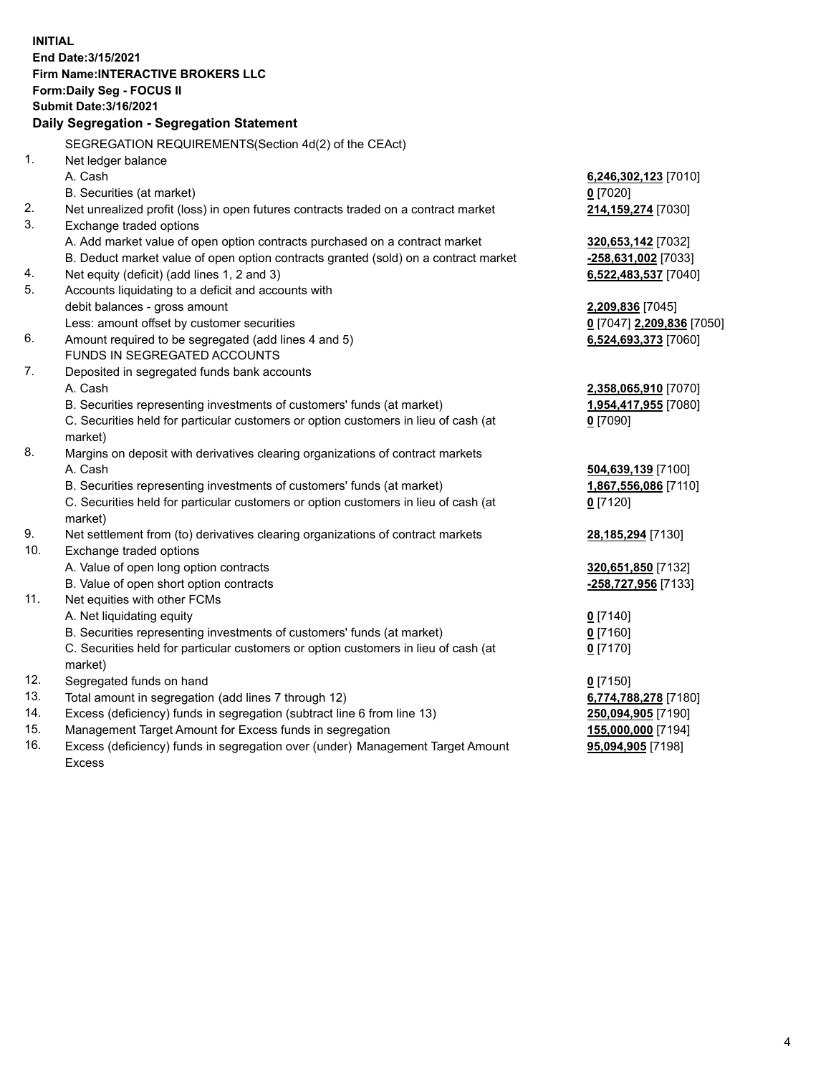**INITIAL End Date:3/15/2021 Firm Name:INTERACTIVE BROKERS LLC Form:Daily Seg - FOCUS II Submit Date:3/16/2021 Daily Segregation - Segregation Statement** SEGREGATION REQUIREMENTS(Section 4d(2) of the CEAct) 1. Net ledger balance A. Cash **6,246,302,123** [7010] B. Securities (at market) **0** [7020] 2. Net unrealized profit (loss) in open futures contracts traded on a contract market **214,159,274** [7030] 3. Exchange traded options A. Add market value of open option contracts purchased on a contract market **320,653,142** [7032] B. Deduct market value of open option contracts granted (sold) on a contract market **-258,631,002** [7033] 4. Net equity (deficit) (add lines 1, 2 and 3) **6,522,483,537** [7040] 5. Accounts liquidating to a deficit and accounts with debit balances - gross amount **2,209,836** [7045] Less: amount offset by customer securities **0** [7047] **2,209,836** [7050] 6. Amount required to be segregated (add lines 4 and 5) **6,524,693,373** [7060] FUNDS IN SEGREGATED ACCOUNTS 7. Deposited in segregated funds bank accounts A. Cash **2,358,065,910** [7070] B. Securities representing investments of customers' funds (at market) **1,954,417,955** [7080] C. Securities held for particular customers or option customers in lieu of cash (at market) **0** [7090] 8. Margins on deposit with derivatives clearing organizations of contract markets A. Cash **504,639,139** [7100] B. Securities representing investments of customers' funds (at market) **1,867,556,086** [7110] C. Securities held for particular customers or option customers in lieu of cash (at market) **0** [7120] 9. Net settlement from (to) derivatives clearing organizations of contract markets **28,185,294** [7130] 10. Exchange traded options A. Value of open long option contracts **320,651,850** [7132] B. Value of open short option contracts **-258,727,956** [7133] 11. Net equities with other FCMs A. Net liquidating equity **0** [7140] B. Securities representing investments of customers' funds (at market) **0** [7160] C. Securities held for particular customers or option customers in lieu of cash (at market) **0** [7170] 12. Segregated funds on hand **0** [7150] 13. Total amount in segregation (add lines 7 through 12) **6,774,788,278** [7180] 14. Excess (deficiency) funds in segregation (subtract line 6 from line 13) **250,094,905** [7190] 15. Management Target Amount for Excess funds in segregation **155,000,000** [7194]

16. Excess (deficiency) funds in segregation over (under) Management Target Amount Excess

**95,094,905** [7198]